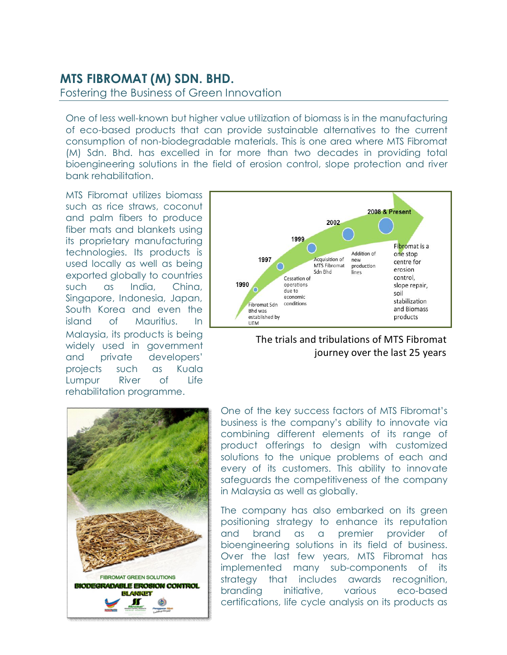## **MTS FIBROMAT (M) SDN. BHD.**

Fostering the Business of Green Innovation

One of less well-known but higher value utilization of biomass is in the manufacturing of eco-based products that can provide sustainable alternatives to the current consumption of non-biodegradable materials. This is one area where MTS Fibromat (M) Sdn. Bhd. has excelled in for more than two decades in providing total bioengineering solutions in the field of erosion control, slope protection and river bank rehabilitation.

MTS Fibromat utilizes biomass such as rice straws, coconut and palm fibers to produce fiber mats and blankets using its proprietary manufacturing technologies. Its products is used locally as well as being exported globally to countries such as India, China, Singapore, Indonesia, Japan, South Korea and even the island of Mauritius. In Malaysia, its products is being widely used in government and private developers' projects such as Kuala Lumpur River of Life rehabilitation programme.





## The trials and tribulations of MTS Fibromat journey over the last 25 years

One of the key success factors of MTS Fibromat's business is the company's ability to innovate via combining different elements of its range of product offerings to design with customized solutions to the unique problems of each and every of its customers. This ability to innovate safeguards the competitiveness of the company in Malaysia as well as globally.

The company has also embarked on its green positioning strategy to enhance its reputation and brand as a premier provider of bioengineering solutions in its field of business. Over the last few years, MTS Fibromat has implemented many sub-components of its strategy that includes awards recognition, branding initiative, various eco-based certifications, life cycle analysis on its products as